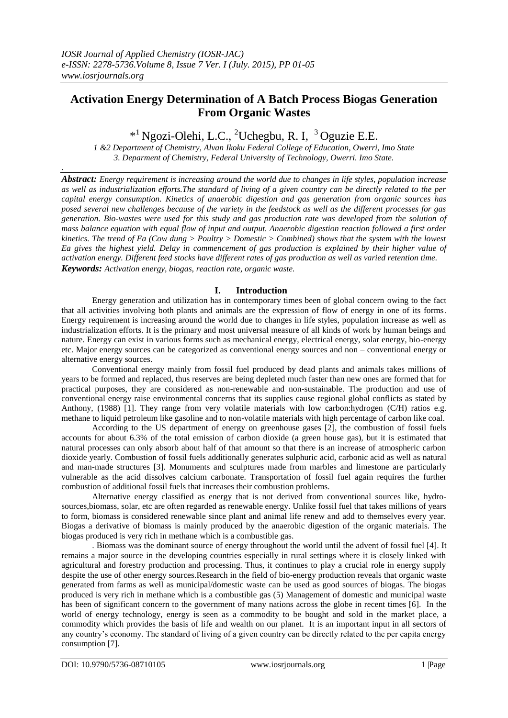.

# **Activation Energy Determination of A Batch Process Biogas Generation From Organic Wastes**

<sup>\*1</sup> Ngozi-Olehi, L.C., <sup>2</sup>Uchegbu, R. I, <sup>3</sup> Oguzie E.E.

*1 &2 Department of Chemistry, Alvan Ikoku Federal College of Education, Owerri, Imo State 3. Deparment of Chemistry, Federal University of Technology, Owerri. Imo State.*

*Abstract: Energy requirement is increasing around the world due to changes in life styles, population increase as well as industrialization efforts.The standard of living of a given country can be directly related to the per capital energy consumption. Kinetics of anaerobic digestion and gas generation from organic sources has posed several new challenges because of the variety in the feedstock as well as the different processes for gas generation. Bio-wastes were used for this study and gas production rate was developed from the solution of mass balance equation with equal flow of input and output. Anaerobic digestion reaction followed a first order kinetics. The trend of Ea (Cow dung > Poultry > Domestic > Combined) shows that the system with the lowest Ea gives the highest yield. Delay in commencement of gas production is explained by their higher value of activation energy. Different feed stocks have different rates of gas production as well as varied retention time. Keywords: Activation energy, biogas, reaction rate, organic waste.*

## **I. Introduction**

Energy generation and utilization has in contemporary times been of global concern owing to the fact that all activities involving both plants and animals are the expression of flow of energy in one of its forms. Energy requirement is increasing around the world due to changes in life styles, population increase as well as industrialization efforts. It is the primary and most universal measure of all kinds of work by human beings and nature. Energy can exist in various forms such as mechanical energy, electrical energy, solar energy, bio-energy etc. Major energy sources can be categorized as conventional energy sources and non – conventional energy or alternative energy sources.

Conventional energy mainly from fossil fuel produced by dead plants and animals takes millions of years to be formed and replaced, thus reserves are being depleted much faster than new ones are formed that for practical purposes, they are considered as non-renewable and non-sustainable. The production and use of conventional energy raise environmental concerns that its supplies cause regional global conflicts as stated by Anthony, (1988) [1]. They range from very volatile materials with low carbon:hydrogen (C/H) ratios e.g. methane to liquid petroleum like gasoline and to non-volatile materials with high percentage of carbon like coal.

According to the US department of energy on greenhouse gases [2], the combustion of fossil fuels accounts for about 6.3% of the total emission of carbon dioxide (a green house gas), but it is estimated that natural processes can only absorb about half of that amount so that there is an increase of atmospheric carbon dioxide yearly. Combustion of fossil fuels additionally generates sulphuric acid, carbonic acid as well as natural and man-made structures [3]. Monuments and sculptures made from marbles and limestone are particularly vulnerable as the acid dissolves calcium carbonate. Transportation of fossil fuel again requires the further combustion of additional fossil fuels that increases their combustion problems.

Alternative energy classified as energy that is not derived from conventional sources like, hydrosources,biomass, solar, etc are often regarded as renewable energy. Unlike fossil fuel that takes millions of years to form, biomass is considered renewable since plant and animal life renew and add to themselves every year. Biogas a derivative of biomass is mainly produced by the anaerobic digestion of the organic materials. The biogas produced is very rich in methane which is a combustible gas.

. Biomass was the dominant source of energy throughout the world until the advent of fossil fuel [4]. It remains a major source in the developing countries especially in rural settings where it is closely linked with agricultural and forestry production and processing. Thus, it continues to play a crucial role in energy supply despite the use of other energy sources.Research in the field of bio-energy production reveals that organic waste generated from farms as well as municipal/domestic waste can be used as good sources of biogas. The biogas produced is very rich in methane which is a combustible gas (5) Management of domestic and municipal waste has been of significant concern to the government of many nations across the globe in recent times [6]. In the world of energy technology, energy is seen as a commodity to be bought and sold in the market place, a commodity which provides the basis of life and wealth on our planet. It is an important input in all sectors of any country's economy. The standard of living of a given country can be directly related to the per capita energy consumption [7].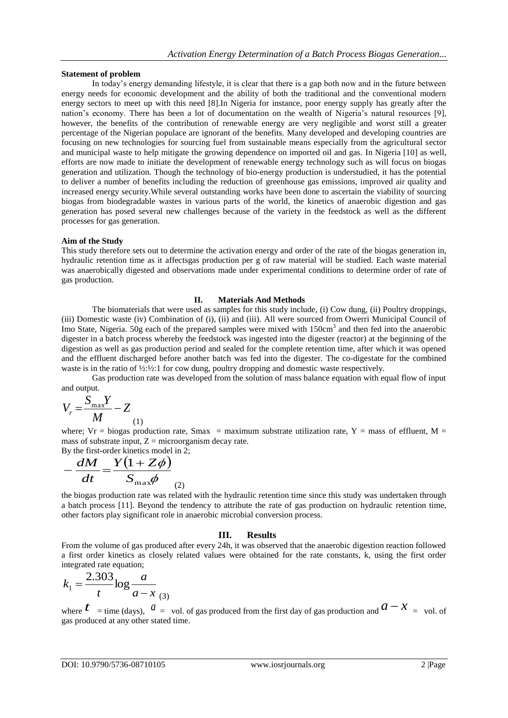### **Statement of problem**

In today's energy demanding lifestyle, it is clear that there is a gap both now and in the future between energy needs for economic development and the ability of both the traditional and the conventional modern energy sectors to meet up with this need [8].In Nigeria for instance, poor energy supply has greatly after the nation's economy. There has been a lot of documentation on the wealth of Nigeria's natural resources [9], however, the benefits of the contribution of renewable energy are very negligible and worst still a greater percentage of the Nigerian populace are ignorant of the benefits. Many developed and developing countries are focusing on new technologies for sourcing fuel from sustainable means especially from the agricultural sector and municipal waste to help mitigate the growing dependence on imported oil and gas. In Nigeria [10] as well, efforts are now made to initiate the development of renewable energy technology such as will focus on biogas generation and utilization. Though the technology of bio-energy production is understudied, it has the potential to deliver a number of benefits including the reduction of greenhouse gas emissions, improved air quality and increased energy security.While several outstanding works have been done to ascertain the viability of sourcing biogas from biodegradable wastes in various parts of the world, the kinetics of anaerobic digestion and gas generation has posed several new challenges because of the variety in the feedstock as well as the different processes for gas generation.

## **Aim of the Study**

This study therefore sets out to determine the activation energy and order of the rate of the biogas generation in, hydraulic retention time as it affectsgas production per g of raw material will be studied. Each waste material was anaerobically digested and observations made under experimental conditions to determine order of rate of gas production.

## **II. Materials And Methods**

The biomaterials that were used as samples for this study include, (i) Cow dung, (ii) Poultry droppings, (iii) Domestic waste (iv) Combination of (i), (ii) and (iii). All were sourced from Owerri Municipal Council of Imo State, Nigeria. 50g each of the prepared samples were mixed with 150cm<sup>3</sup> and then fed into the anaerobic digester in a batch process whereby the feedstock was ingested into the digester (reactor) at the beginning of the digestion as well as gas production period and sealed for the complete retention time, after which it was opened and the effluent discharged before another batch was fed into the digester. The co-digestate for the combined waste is in the ratio of  $\frac{1}{2}$ :  $\frac{1}{2}$ : 1 for cow dung, poultry dropping and domestic waste respectively.

Gas production rate was developed from the solution of mass balance equation with equal flow of input and output.

$$
V_r = \frac{S_{\text{max}}Y}{M} - Z
$$
<sub>(1)</sub>

where; Vr = biogas production rate, Smax = maximum substrate utilization rate, Y = mass of effluent, M = mass of substrate input,  $Z =$  microorganism decay rate. By the first-order kinetics model in 2;

$$
-\frac{dM}{dt} = \frac{Y(1+Z\phi)}{S_{\text{max}}\phi}
$$

the biogas production rate was related with the hydraulic retention time since this study was undertaken through a batch process [11]. Beyond the tendency to attribute the rate of gas production on hydraulic retention time, other factors play significant role in anaerobic microbial conversion process.

### **III. Results**

From the volume of gas produced after every 24h, it was observed that the anaerobic digestion reaction followed a first order kinetics as closely related values were obtained for the rate constants, k, using the first order integrated rate equation;

$$
k_1 = \frac{2.303}{t} \log \frac{a}{a - x} \tag{3}
$$

where  $t = \text{time (days)}$ ,  $a = \text{vol. of gas produced from the first day of gas production and  $a - x = \text{vol. of } a$$ gas produced at any other stated time.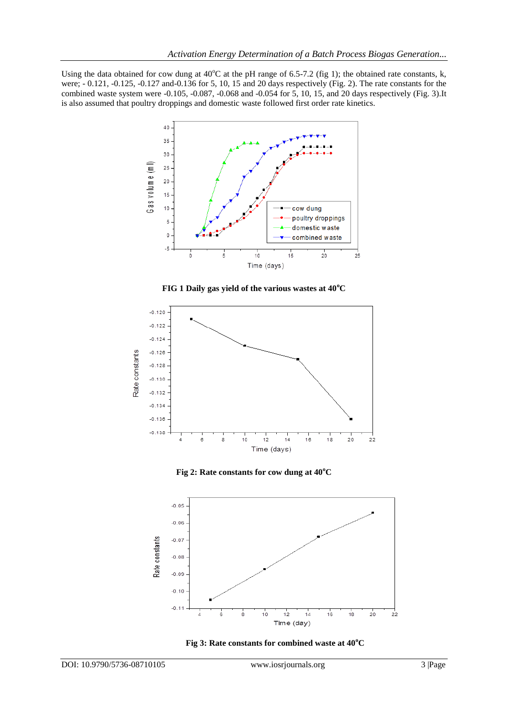Using the data obtained for cow dung at  $40^{\circ}$ C at the pH range of 6.5-7.2 (fig 1); the obtained rate constants, k, were; - 0.121, -0.125, -0.127 and-0.136 for 5, 10, 15 and 20 days respectively (Fig. 2). The rate constants for the combined waste system were -0.105, -0.087, -0.068 and -0.054 for 5, 10, 15, and 20 days respectively (Fig. 3).It is also assumed that poultry droppings and domestic waste followed first order rate kinetics.



**FIG 1 Daily gas yield of the various wastes at 40<sup>o</sup>C**



**Fig 2: Rate constants for cow dung at 40<sup>o</sup>C**



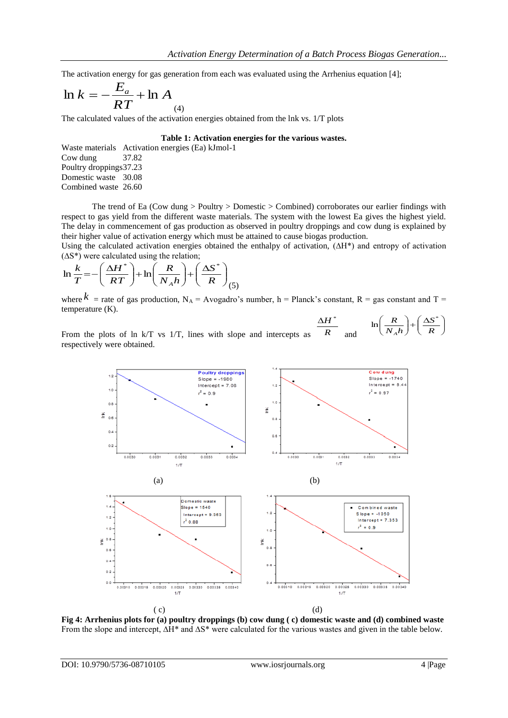The activation energy for gas generation from each was evaluated using the Arrhenius equation [4];

$$
\ln k = -\frac{E_a}{RT} + \ln A_{(4)}
$$

The calculated values of the activation energies obtained from the lnk vs. 1/T plots

#### **Table 1: Activation energies for the various wastes.**

Waste materials Activation energies (Ea) kJmol-1 Cow dung 37.82 Poultry droppings37.23 Domestic waste 30.08 Combined waste 26.60

The trend of Ea (Cow dung > Poultry > Domestic > Combined) corroborates our earlier findings with respect to gas yield from the different waste materials. The system with the lowest Ea gives the highest yield. The delay in commencement of gas production as observed in poultry droppings and cow dung is explained by their higher value of activation energy which must be attained to cause biogas production.

Using the calculated activation energies obtained the enthalpy of activation, (∆H\*) and entropy of activation (∆S\*) were calculated using the relation;

$$
\ln\frac{k}{T} = -\left(\frac{\Delta H^*}{RT}\right) + \ln\left(\frac{R}{N_A h}\right) + \left(\frac{\Delta S^*}{R}\right)_{(5)}
$$

where  $k$  = rate of gas production, N<sub>A</sub> = Avogadro's number, h = Planck's constant, R = gas constant and T = temperature (K).

From the plots of ln k/T vs 1/T, lines with slope and intercepts as *R*  $\Delta H^*$ and  $-\left(-\frac{\Delta}{2}\right)$  $\bigg)$  $\overline{\phantom{0}}$  $\left(\right)$  $\overline{\mathcal{L}}$  $\overline{(\ }$  $\overline{N_A h}$ *R A*  $\ln\left(\frac{R}{N}\right) + \left(\frac{\Delta S^*}{R}\right)$ respectively were obtained.



**Fig 4: Arrhenius plots for (a) poultry droppings (b) cow dung ( c) domestic waste and (d) combined waste** From the slope and intercept, ∆H\* and ∆S\* were calculated for the various wastes and given in the table below.

 $\overline{\phantom{a}}$  $\bigg)$  $\overline{\phantom{0}}$ 

*R S*

 $\left(\right)$  $\overline{\mathcal{L}}$